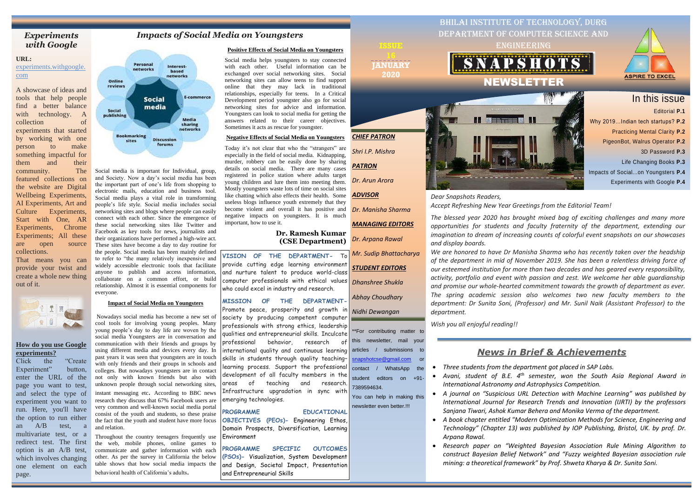## *Impacts of Social Media on Youngsters*

Social media is important for Individual, group, and Society. Now a day's social media has been the important part of one's life from shopping to electronic mails, education and business tool. Social media plays a vital role in transforming people's life style. Social media includes social networking sites and blogs where people can easily connect with each other. Since the emergence of these social networking sites like Twitter and Facebook as key tools for news, journalists and their organizations have performed a high-wire act. These sites have become a day to day routine for the people. Social media has been mainly defined to refer to "the many relatively inexpensive and widely accessible electronic tools that facilitate anyone to publish and access information, collaborate on a common effort, or build relationship. Almost it is essential components for everyone.

### **Impact of Social Media on Youngsters**

[snapshotcse@gmail.com](mailto:snapshotcse@gmail.com) or contact / WhatsApp the student editors on +91-

Nowadays social media has become a new set of cool tools for involving young peoples. Many young people's day to day life are woven by the social media Youngsters are in conversation and communication with their friends and groups by using different media and devices every day. In past years it was seen that youngsters are in touch with only friends and their groups in schools and colleges. But nowadays youngsters are in contact not only with known friends but also with unknown people through social networking sites, instant messaging etc. According to BBC news research they discuss that 67% Facebook users are very common and well-known social media portal consist of the youth and students, so these praise the fact that the youth and student have more focus and relation.

Throughout the country teenagers frequently use the web, mobile phones, online games to communicate and gather information with each other. As per the survey in California the below table shows that how social media impacts the behavioral health of California's adults.

*CHIEF PATRON*

*Shri I.P. Mishra*

*PATRON*

*Dr. Arun Arora*

*ADVISOR*

*Dr. Manisha Sharma*

*MANAGING EDITORS*

*Dr. Arpana Rawal*

*Mr. Sudip Bhattacharya*

*STUDENT EDITORS*

*Dhanshree Shukla*

*Abhay Choudhary*

\*\*For contributing matter to this newsletter, mail your



7389594634.

newsletter even better.!!!

*Dear Snapshots Readers, Accept Refreshing New Year Greetings from the Editorial Team!*

*The blessed year 2020 has brought mixed bag of exciting challenges and many more opportunities for students and faculty fraternity of the department, extending our imagination to dream of increasing counts of colorful event snapshots on our showcases and display boards.*

• *A book chapter entitled "Modern Optimization Methods for Science, Engineering and Technology" (Chapter 13) was published by IOP Publishing, Bristol, UK. by prof. Dr.* 

*Nidhi Dewangan* articles / submissions to You can help in making this Promote peace, prosperity and growth in society by producing competent computer professionals with strong ethics, leadership qualities and entrepreneurial skills. Inculcate professional behavior, research of international quality and continuous learning skills in students through quality teaching– learning process. Support the professional development of all faculty members in the areas of teaching and research. Infrastructure upgradation in sync with emerging technologies.



*We are honored to have Dr Manisha Sharma who has recently taken over the headship of the department in mid of November 2019. She has been a relentless driving force of our esteemed institution for more than two decades and has geared every responsibility, activity, portfolio and event with passion and zest. We welcome her able guardianship and promise our whole-hearted commitment towards the growth of department as ever. The spring academic session also welcomes two new faculty members to the department: Dr Sunita Soni, (Professor) and Mr. Sunil Naik (Assistant Professor) to the department.*

*Wish you all enjoyful reading!!*

*Wish you all enjoyful reading!!*

**VISION OF THE DEPARTMENT-** To provide cutting edge learning environment and nurture talent to produce world-class computer professionals with ethical values who could excel in industry and research.

**MISSION OF THE DEPARTMENT-**

**PROGRAMME EDUCATIONAL OBJECTIVES (PEOs)-** Engineering Ethos, Domain Prospects, Diversification, Learning Environment

**PROGRAMME SPECIFIC OUTCOMES (PSOs)-** Visualization, System Development and Design, Societal Impact, Presentation and Entrepreneurial Skills

**JANUARY 2020**

### **Positive Effects of Social Media on Youngsters**

Social media helps youngsters to stay connected with each other. Useful information can be exchanged over social networking sites. Social networking sites can allow teens to find support online that they may lack in traditional relationships, especially for teens. In a Critical Development period youngster also go for social networking sites for advice and information. Youngsters can look to social media for getting the answers related to their career objectives. Sometimes it acts as rescue for youngster.

## **Negative Effects of Social Media on Youngsters**

Today it's not clear that who the "strangers" are especially in the field of social media. Kidnapping, murder, robbery can be easily done by sharing details on social media. There are many cases registered in police station where adults target young children and lure them into meeting them. Mostly youngsters waste lots of time on social sites like chatting which also effects their health. Some useless blogs influence youth extremely that they become violent and overall it has positive and negative impacts on youngsters. It is much important, how to use it.

## **Dr. Ramesh Kumar (CSE Department)**

# *News in Brief & Achievements*

• *Avani, student of B.E. 4 th semester, won the South Asia Regional Award in* 

- *Three students from the department got placed in SAP Labs.*
- *International Astronomy and Astrophysics Competition.*
- 
- *Arpana Rawal.*
- 

• *A journal on "Suspicious URL Detection with Machine Learning" was published by International Journal for Research Trends and Innovation (IJRTI) by the professors Sanjana Tiwari, Ashok Kumar Behera and Monika Verma of the department.*

• *Research paper on "Weighted Bayesian Association Rule Mining Algorithm to construct Bayesian Belief Network" and "Fuzzy weighted Bayesian association rule mining: a theoretical framework" by Prof. Shweta Kharya & Dr. Sunita Soni.*

## *Experiments with Google*

### **URL:**

experiments.withgoogle. com

A showcase of ideas and tools that help people find a better balance with technology. A collection of experiments that started by working with one person to make something impactful for them and their community. The featured collections on the website are Digital Wellbeing Experiments, AI Experiments, Art and Culture Experiments, Start with One, AR Experiments, Chrome Experiments; All these are open source collections.

That means you can provide your twist and create a whole new thing out of it.



## **How do you use Google experiments?**

Click the "Create Experiment" button, enter the URL of the page you want to test, and select the type of experiment you want to run. Here, you'll have the option to run either an A/B test, a multivariate test, or a redirect test. The first option is an A/B test, which involves changing one element on each page.